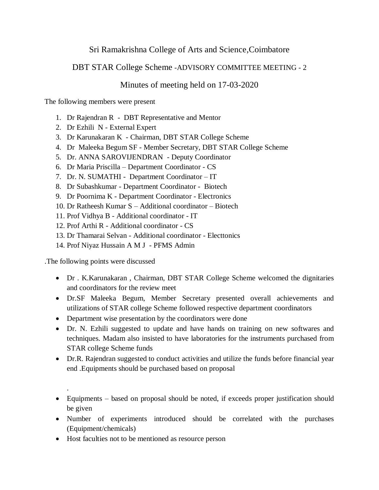## Sri Ramakrishna College of Arts and Science,Coimbatore

## DBT STAR College Scheme -ADVISORY COMMITTEE MEETING - 2

## Minutes of meeting held on 17-03-2020

The following members were present

- 1. Dr Rajendran R DBT Representative and Mentor
- 2. Dr Ezhili N External Expert
- 3. Dr Karunakaran K Chairman, DBT STAR College Scheme
- 4. Dr Maleeka Begum SF Member Secretary, DBT STAR College Scheme
- 5. Dr. ANNA SAROVIJENDRAN Deputy Coordinator
- 6. Dr Maria Priscilla Department Coordinator CS
- 7. Dr. N. SUMATHI Department Coordinator IT
- 8. Dr Subashkumar Department Coordinator Biotech
- 9. Dr Poornima K Department Coordinator Electronics
- 10. Dr Ratheesh Kumar S Additional coordinator Biotech
- 11. Prof Vidhya B Additional coordinator IT
- 12. Prof Arthi R Additional coordinator CS
- 13. Dr Thamarai Selvan Additional coordinator Electtonics
- 14. Prof Niyaz Hussain A M J PFMS Admin

.The following points were discussed

.

- Dr . K.Karunakaran , Chairman, DBT STAR College Scheme welcomed the dignitaries and coordinators for the review meet
- Dr.SF Maleeka Begum, Member Secretary presented overall achievements and utilizations of STAR college Scheme followed respective department coordinators
- Department wise presentation by the coordinators were done
- Dr. N. Ezhili suggested to update and have hands on training on new softwares and techniques. Madam also insisted to have laboratories for the instruments purchased from STAR college Scheme funds
- Dr.R. Rajendran suggested to conduct activities and utilize the funds before financial year end .Equipments should be purchased based on proposal

## Equipments – based on proposal should be noted, if exceeds proper justification should be given

- Number of experiments introduced should be correlated with the purchases (Equipment/chemicals)
- Host faculties not to be mentioned as resource person